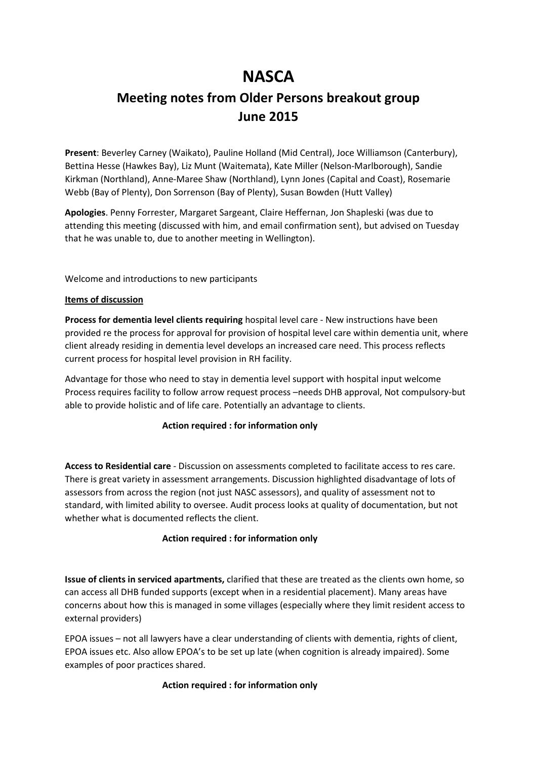# **NASCA**

## **Meeting notes from Older Persons breakout group June 2015**

**Present**: Beverley Carney (Waikato), Pauline Holland (Mid Central), Joce Williamson (Canterbury), Bettina Hesse (Hawkes Bay), Liz Munt (Waitemata), Kate Miller (Nelson-Marlborough), Sandie Kirkman (Northland), Anne-Maree Shaw (Northland), Lynn Jones (Capital and Coast), Rosemarie Webb (Bay of Plenty), Don Sorrenson (Bay of Plenty), Susan Bowden (Hutt Valley)

**Apologies**. Penny Forrester, Margaret Sargeant, Claire Heffernan, Jon Shapleski (was due to attending this meeting (discussed with him, and email confirmation sent), but advised on Tuesday that he was unable to, due to another meeting in Wellington).

Welcome and introductions to new participants

#### **Items of discussion**

**Process for dementia level clients requiring** hospital level care - New instructions have been provided re the process for approval for provision of hospital level care within dementia unit, where client already residing in dementia level develops an increased care need. This process reflects current process for hospital level provision in RH facility.

Advantage for those who need to stay in dementia level support with hospital input welcome Process requires facility to follow arrow request process –needs DHB approval, Not compulsory-but able to provide holistic and of life care. Potentially an advantage to clients.

#### **Action required : for information only**

**Access to Residential care** - Discussion on assessments completed to facilitate access to res care. There is great variety in assessment arrangements. Discussion highlighted disadvantage of lots of assessors from across the region (not just NASC assessors), and quality of assessment not to standard, with limited ability to oversee. Audit process looks at quality of documentation, but not whether what is documented reflects the client.

#### **Action required : for information only**

**Issue of clients in serviced apartments,** clarified that these are treated as the clients own home, so can access all DHB funded supports (except when in a residential placement). Many areas have concerns about how this is managed in some villages (especially where they limit resident access to external providers)

EPOA issues – not all lawyers have a clear understanding of clients with dementia, rights of client, EPOA issues etc. Also allow EPOA's to be set up late (when cognition is already impaired). Some examples of poor practices shared.

#### **Action required : for information only**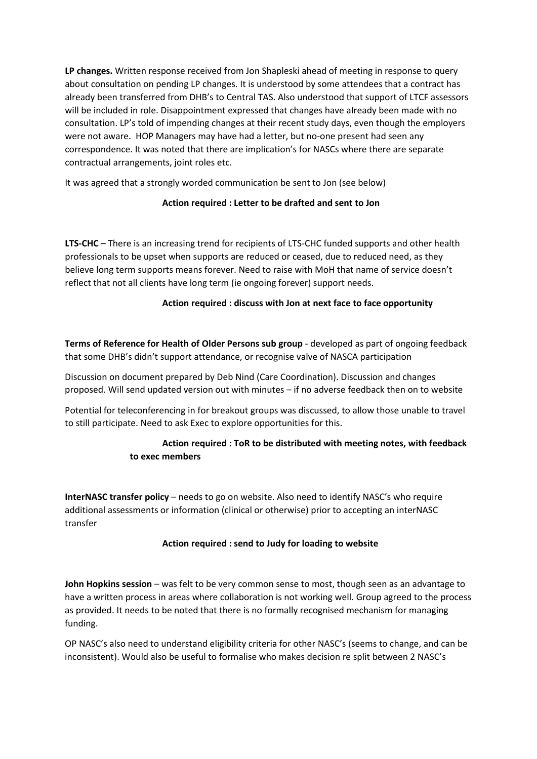**LP changes.** Written response received from Jon Shapleski ahead of meeting in response to query about consultation on pending LP changes. It is understood by some attendees that a contract has already been transferred from DHB's to Central TAS. Also understood that support of LTCF assessors will be included in role. Disappointment expressed that changes have aIready been made with no consultation. LP's told of impending changes at their recent study days, even though the employers were not aware. HOP Managers may have had a letter, but no-one present had seen any correspondence. It was noted that there are implication's for NASCs where there are separate contractual arrangements, joint roles etc.

It was agreed that a strongly worded communication be sent to Jon (see below)

## **Action required : Letter to be drafted and sent to Jon**

**LTS-CHC** – There is an increasing trend for recipients of LTS-CHC funded supports and other health professionals to be upset when supports are reduced or ceased, due to reduced need, as they believe long term supports means forever. Need to raise with MoH that name of service doesn't reflect that not all clients have long term (ie ongoing forever) support needs.

## **Action required : discuss with Jon at next face to face opportunity**

**Terms of Reference for Health of Older Persons sub group** - developed as part of ongoing feedback that some DHB's didn't support attendance, or recognise valve of NASCA participation

Discussion on document prepared by Deb Nind (Care Coordination). Discussion and changes proposed. Will send updated version out with minutes – if no adverse feedback then on to website

Potential for teleconferencing in for breakout groups was discussed, to allow those unable to travel to still participate. Need to ask Exec to explore opportunities for this.

## **Action required : ToR to be distributed with meeting notes, with feedback to exec members**

**InterNASC transfer policy** – needs to go on website. Also need to identify NASC's who require additional assessments or information (clinical or otherwise) prior to accepting an interNASC transfer

#### **Action required : send to Judy for loading to website**

**John Hopkins session** – was felt to be very common sense to most, though seen as an advantage to have a written process in areas where collaboration is not working well. Group agreed to the process as provided. It needs to be noted that there is no formally recognised mechanism for managing funding.

OP NASC's also need to understand eligibility criteria for other NASC's (seems to change, and can be inconsistent). Would also be useful to formalise who makes decision re split between 2 NASC's